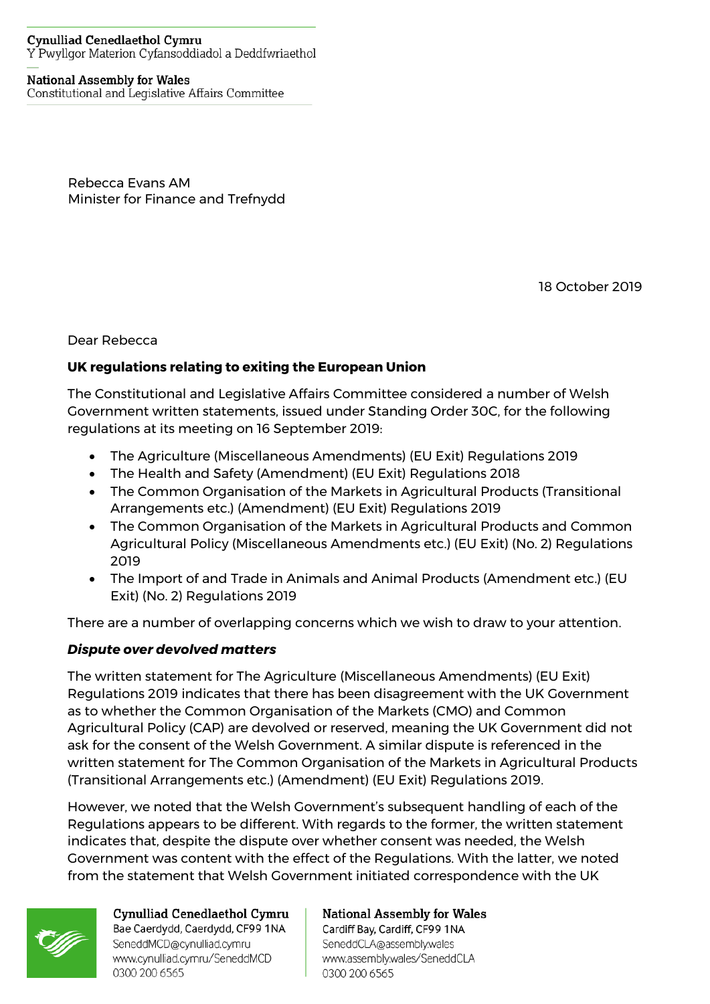#### **Cynulliad Cenedlaethol Cymru** Y Pwyllgor Materion Cyfansoddiadol a Deddfwriaethol

#### **National Assembly for Wales**

Constitutional and Legislative Affairs Committee

Rebecca Evans AM Minister for Finance and Trefnydd

18 October 2019

Dear Rebecca

### **UK regulations relating to exiting the European Union**

The Constitutional and Legislative Affairs Committee considered a number of Welsh Government written statements, issued under Standing Order 30C, for the following regulations at its meeting on 16 September 2019:

- The Agriculture (Miscellaneous Amendments) (EU Exit) Regulations 2019
- The Health and Safety (Amendment) (EU Exit) Regulations 2018
- The Common Organisation of the Markets in Agricultural Products (Transitional Arrangements etc.) (Amendment) (EU Exit) Regulations 2019
- The Common Organisation of the Markets in Agricultural Products and Common Agricultural Policy (Miscellaneous Amendments etc.) (EU Exit) (No. 2) Regulations 2019
- The Import of and Trade in Animals and Animal Products (Amendment etc.) (EU Exit) (No. 2) Regulations 2019

There are a number of overlapping concerns which we wish to draw to your attention.

### *Dispute over devolved matters*

The written statement for The Agriculture (Miscellaneous Amendments) (EU Exit) Regulations 2019 indicates that there has been disagreement with the UK Government as to whether the Common Organisation of the Markets (CMO) and Common Agricultural Policy (CAP) are devolved or reserved, meaning the UK Government did not ask for the consent of the Welsh Government. A similar dispute is referenced in the written statement for The Common Organisation of the Markets in Agricultural Products (Transitional Arrangements etc.) (Amendment) (EU Exit) Regulations 2019.

However, we noted that the Welsh Government's subsequent handling of each of the Regulations appears to be different. With regards to the former, the written statement indicates that, despite the dispute over whether consent was needed, the Welsh Government was content with the effect of the Regulations. With the latter, we noted from the statement that Welsh Government initiated correspondence with the UK



Cynulliad Cenedlaethol Cymru Bae Caerdydd, Caerdydd, CF99 1NA SeneddMCD@cynulliad.cymru www.cynulliad.cymru/SeneddMCD 0300 200 6565

**National Assembly for Wales** Cardiff Bay, Cardiff, CF99 1NA

SeneddCLA@assembly.wales www.assembly.wales/SeneddCLA 0300 200 6565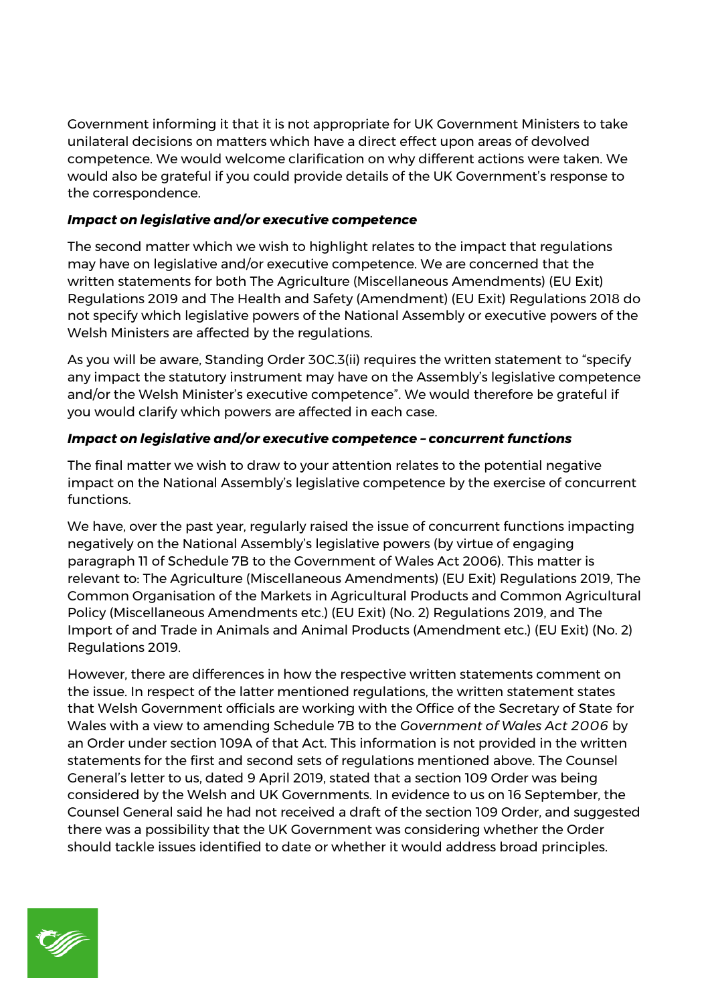Government informing it that it is not appropriate for UK Government Ministers to take unilateral decisions on matters which have a direct effect upon areas of devolved competence. We would welcome clarification on why different actions were taken. We would also be grateful if you could provide details of the UK Government's response to the correspondence.

## *Impact on legislative and/or executive competence*

The second matter which we wish to highlight relates to the impact that regulations may have on legislative and/or executive competence. We are concerned that the written statements for both The Agriculture (Miscellaneous Amendments) (EU Exit) Regulations 2019 and The Health and Safety (Amendment) (EU Exit) Regulations 2018 do not specify which legislative powers of the National Assembly or executive powers of the Welsh Ministers are affected by the regulations.

As you will be aware, Standing Order 30C.3(ii) requires the written statement to "specify any impact the statutory instrument may have on the Assembly's legislative competence and/or the Welsh Minister's executive competence". We would therefore be grateful if you would clarify which powers are affected in each case.

# *Impact on legislative and/or executive competence – concurrent functions*

The final matter we wish to draw to your attention relates to the potential negative impact on the National Assembly's legislative competence by the exercise of concurrent functions.

We have, over the past year, regularly raised the issue of concurrent functions impacting negatively on the National Assembly's legislative powers (by virtue of engaging paragraph 11 of Schedule 7B to the Government of Wales Act 2006). This matter is relevant to: The Agriculture (Miscellaneous Amendments) (EU Exit) Regulations 2019, The Common Organisation of the Markets in Agricultural Products and Common Agricultural Policy (Miscellaneous Amendments etc.) (EU Exit) (No. 2) Regulations 2019, and The Import of and Trade in Animals and Animal Products (Amendment etc.) (EU Exit) (No. 2) Regulations 2019.

However, there are differences in how the respective written statements comment on the issue. In respect of the latter mentioned regulations, the written statement states that Welsh Government officials are working with the Office of the Secretary of State for Wales with a view to amending Schedule 7B to the *Government of Wales Act 2006* by an Order under section 109A of that Act. This information is not provided in the written statements for the first and second sets of regulations mentioned above. The Counsel General's letter to us, dated 9 April 2019, stated that a section 109 Order was being considered by the Welsh and UK Governments. In evidence to us on 16 September, the Counsel General said he had not received a draft of the section 109 Order, and suggested there was a possibility that the UK Government was considering whether the Order should tackle issues identified to date or whether it would address broad principles.